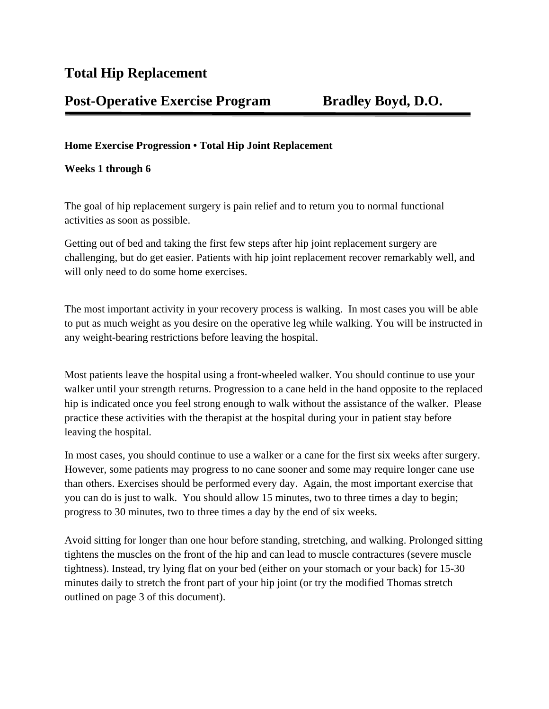# **Post-Operative Exercise Program Bradley Boyd, D.O.**

## **Home Exercise Progression • Total Hip Joint Replacement**

### **Weeks 1 through 6**

The goal of hip replacement surgery is pain relief and to return you to normal functional activities as soon as possible.

Getting out of bed and taking the first few steps after hip joint replacement surgery are challenging, but do get easier. Patients with hip joint replacement recover remarkably well, and will only need to do some home exercises.

The most important activity in your recovery process is walking. In most cases you will be able to put as much weight as you desire on the operative leg while walking. You will be instructed in any weight-bearing restrictions before leaving the hospital.

Most patients leave the hospital using a front-wheeled walker. You should continue to use your walker until your strength returns. Progression to a cane held in the hand opposite to the replaced hip is indicated once you feel strong enough to walk without the assistance of the walker. Please practice these activities with the therapist at the hospital during your in patient stay before leaving the hospital.

In most cases, you should continue to use a walker or a cane for the first six weeks after surgery. However, some patients may progress to no cane sooner and some may require longer cane use than others. Exercises should be performed every day. Again, the most important exercise that you can do is just to walk. You should allow 15 minutes, two to three times a day to begin; progress to 30 minutes, two to three times a day by the end of six weeks.

Avoid sitting for longer than one hour before standing, stretching, and walking. Prolonged sitting tightens the muscles on the front of the hip and can lead to muscle contractures (severe muscle tightness). Instead, try lying flat on your bed (either on your stomach or your back) for 15-30 minutes daily to stretch the front part of your hip joint (or try the modified Thomas stretch outlined on page 3 of this document).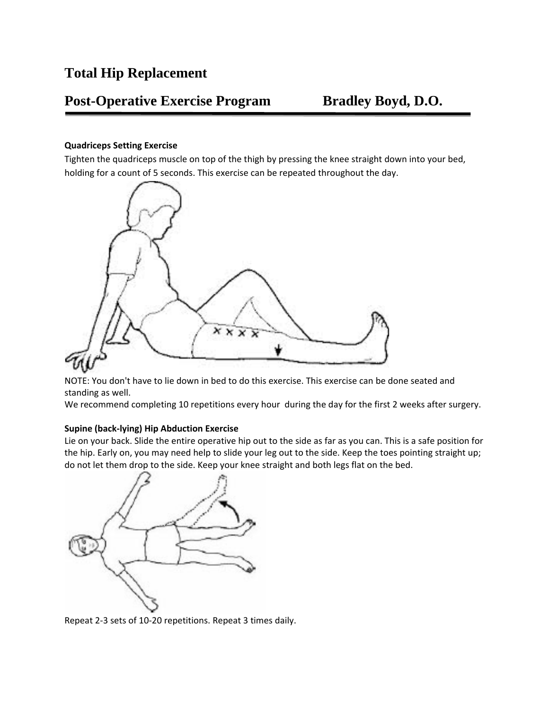# **Post-Operative Exercise Program Bradley Boyd, D.O.**

### **Quadriceps Setting Exercise**

Tighten the quadriceps muscle on top of the thigh by pressing the knee straight down into your bed, holding for a count of 5 seconds. This exercise can be repeated throughout the day.



NOTE: You don't have to lie down in bed to do this exercise. This exercise can be done seated and standing as well.

We recommend completing 10 repetitions every hour during the day for the first 2 weeks after surgery.

#### **Supine (back-lying) Hip Abduction Exercise**

Lie on your back. Slide the entire operative hip out to the side as far as you can. This is a safe position for the hip. Early on, you may need help to slide your leg out to the side. Keep the toes pointing straight up; do not let them drop to the side. Keep your knee straight and both legs flat on the bed.



Repeat 2-3 sets of 10-20 repetitions. Repeat 3 times daily.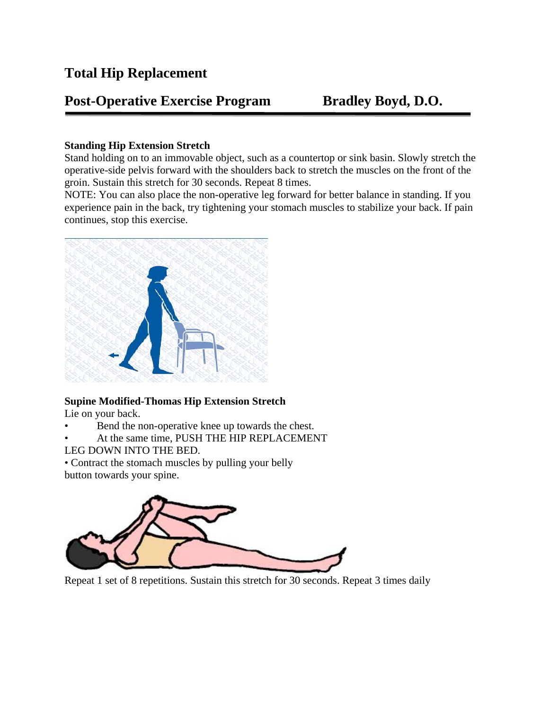# **Total Hip Replacement**

# **Post-Operative Exercise Program Bradley Boyd, D.O.**

## **Standing Hip Extension Stretch**

Stand holding on to an immovable object, such as a countertop or sink basin. Slowly stretch the operative-side pelvis forward with the shoulders back to stretch the muscles on the front of the groin. Sustain this stretch for 30 seconds. Repeat 8 times.

NOTE: You can also place the non-operative leg forward for better balance in standing. If you experience pain in the back, try tightening your stomach muscles to stabilize your back. If pain continues, stop this exercise.



# **Supine Modified-Thomas Hip Extension Stretch**

Lie on your back.

- Bend the non-operative knee up towards the chest.
- At the same time, PUSH THE HIP REPLACEMENT
- LEG DOWN INTO THE BED.

• Contract the stomach muscles by pulling your belly button towards your spine.



Repeat 1 set of 8 repetitions. Sustain this stretch for 30 seconds. Repeat 3 times daily